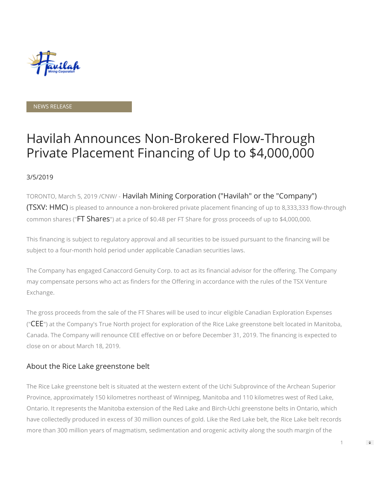

#### NEWS RELEASE

# Havilah Announces Non-Brokered Flow-Through Private Placement Financing of Up to \$4,000,000

### 3/5/2019

TORONTO, March 5, 2019 /CNW/ - Havilah Mining Corporation ("Havilah" or the "Company") (TSXV: HMC) is pleased to announce a non-brokered private placement financing of up to 8,333,333 flow-through common shares ("FT Shares") at a price of \$0.48 per FT Share for gross proceeds of up to \$4,000,000.

This financing is subject to regulatory approval and all securities to be issued pursuant to the financing will be subject to a four-month hold period under applicable Canadian securities laws.

The Company has engaged Canaccord Genuity Corp. to act as its financial advisor for the offering. The Company may compensate persons who act as finders for the Offering in accordance with the rules of the TSX Venture Exchange.

The gross proceeds from the sale of the FT Shares will be used to incur eligible Canadian Exploration Expenses (" $CEE$ ") at the Company's True North project for exploration of the Rice Lake greenstone belt located in Manitoba, Canada. The Company will renounce CEE effective on or before December 31, 2019. The financing is expected to close on or about March 18, 2019.

# About the Rice Lake greenstone belt

The Rice Lake greenstone belt is situated at the western extent of the Uchi Subprovince of the Archean Superior Province, approximately 150 kilometres northeast of Winnipeg, Manitoba and 110 kilometres west of Red Lake, Ontario. It represents the Manitoba extension of the Red Lake and Birch-Uchi greenstone belts in Ontario, which have collectedly produced in excess of 30 million ounces of gold. Like the Red Lake belt, the Rice Lake belt records more than 300 million years of magmatism, sedimentation and orogenic activity along the south margin of the

1

 $\Rightarrow$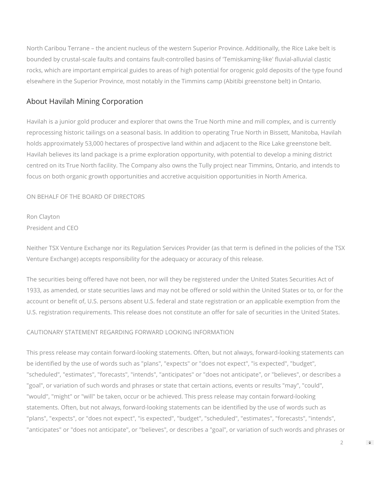North Caribou Terrane – the ancient nucleus of the western Superior Province. Additionally, the Rice Lake belt is bounded by crustal-scale faults and contains fault-controlled basins of 'Temiskaming-like' fluvial-alluvial clastic rocks, which are important empirical guides to areas of high potential for orogenic gold deposits of the type found elsewhere in the Superior Province, most notably in the Timmins camp (Abitibi greenstone belt) in Ontario.

# About Havilah Mining Corporation

Havilah is a junior gold producer and explorer that owns the True North mine and mill complex, and is currently reprocessing historic tailings on a seasonal basis. In addition to operating True North in Bissett, Manitoba, Havilah holds approximately 53,000 hectares of prospective land within and adjacent to the Rice Lake greenstone belt. Havilah believes its land package is a prime exploration opportunity, with potential to develop a mining district centred on its True North facility. The Company also owns the Tully project near Timmins, Ontario, and intends to focus on both organic growth opportunities and accretive acquisition opportunities in North America.

## ON BEHALF OF THE BOARD OF DIRECTORS

# Ron Clayton President and CEO

Neither TSX Venture Exchange nor its Regulation Services Provider (as that term is defined in the policies of the TSX Venture Exchange) accepts responsibility for the adequacy or accuracy of this release.

The securities being offered have not been, nor will they be registered under the United States Securities Act of 1933, as amended, or state securities laws and may not be offered or sold within the United States or to, or for the account or benefit of, U.S. persons absent U.S. federal and state registration or an applicable exemption from the U.S. registration requirements. This release does not constitute an offer for sale of securities in the United States.

# CAUTIONARY STATEMENT REGARDING FORWARD LOOKING INFORMATION

This press release may contain forward-looking statements. Often, but not always, forward-looking statements can be identified by the use of words such as "plans", "expects" or "does not expect", "is expected", "budget", "scheduled", "estimates", "forecasts", "intends", "anticipates" or "does not anticipate", or "believes", or describes a "goal", or variation of such words and phrases or state that certain actions, events or results "may", "could", "would", "might" or "will" be taken, occur or be achieved. This press release may contain forward-looking statements. Often, but not always, forward-looking statements can be identified by the use of words such as "plans", "expects", or "does not expect", "is expected", "budget", "scheduled", "estimates", "forecasts", "intends", "anticipates" or "does not anticipate", or "believes", or describes a "goal", or variation of such words and phrases or

 $\Rightarrow$ 

 $\mathfrak{D}$